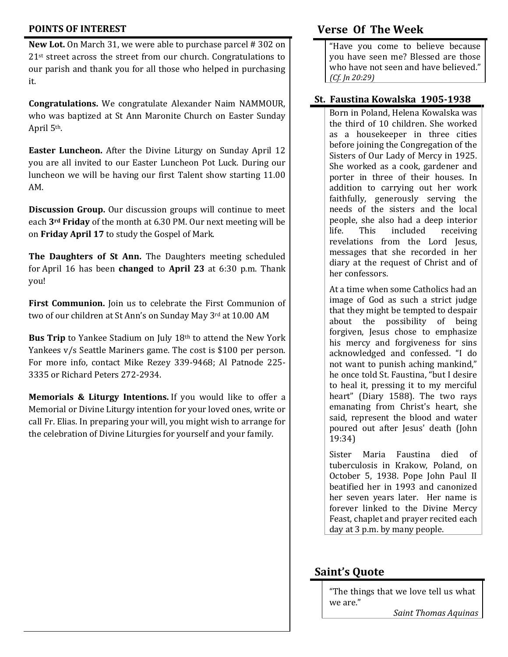### **POINTS OF INTEREST**

**New Lot.** On March 31, we were able to purchase parcel # 302 on 21<sup>st</sup> street across the street from our church. Congratulations to our parish and thank you for all those who helped in purchasing it.

**Congratulations.** We congratulate Alexander Naim NAMMOUR, who was baptized at St Ann Maronite Church on Easter Sunday April 5th.

**Easter Luncheon.** After the Divine Liturgy on Sunday April 12 you are all invited to our Easter Luncheon Pot Luck. During our luncheon we will be having our first Talent show starting 11.00 AM.

**Discussion Group.** Our discussion groups will continue to meet each **3rd Friday** of the month at 6.30 PM. Our next meeting will be on **Friday April 17** to study the Gospel of Mark.

**The Daughters of St Ann.** The Daughters meeting scheduled for April 16 has been **changed** to **April 23** at 6:30 p.m. Thank you!

**First Communion.** Join us to celebrate the First Communion of two of our children at St Ann's on Sunday May 3rd at 10.00 AM

Bus Trip to Yankee Stadium on July 18<sup>th</sup> to attend the New York Yankees v/s Seattle Mariners game. The cost is \$100 per person. For more info, contact Mike Rezey 339-9468; Al Patnode 225- 3335 or Richard Peters 272-2934.

**Memorials & Liturgy Intentions.** If you would like to offer a Memorial or Divine Liturgy intention for your loved ones, write or call Fr. Elias. In preparing your will, you might wish to arrange for the celebration of Divine Liturgies for yourself and your family.

## **Verse Of The Week**

"Have you come to believe because you have seen me? Blessed are those who have not seen and have believed." *(Cf. Jn 20:29)*

#### **St. Faustina Kowalska 1905-1938**

Born in Poland, Helena Kowalska was the third of 10 children. She worked as a housekeeper in three cities before joining the Congregation of the Sisters of Our Lady of Mercy in 1925. She worked as a cook, gardener and porter in three of their houses. In addition to carrying out her work faithfully, generously serving the needs of the sisters and the local people, she also had a deep interior life. This included receiving revelations from the Lord Jesus, messages that she recorded in her diary at the request of Christ and of her confessors.

At a time when some Catholics had an image of God as such a strict judge that they might be tempted to despair about the possibility of being forgiven, Jesus chose to emphasize his mercy and forgiveness for sins acknowledged and confessed. "I do not want to punish aching mankind," he once told St. Faustina, "but I desire to heal it, pressing it to my merciful heart" (Diary 1588). The two rays emanating from Christ's heart, she said, represent the blood and water poured out after Jesus' death (John 19:34)

Sister Maria Faustina died of tuberculosis in Krakow, Poland, on October 5, 1938. Pope John Paul II beatified her in 1993 and canonized her seven years later. Her name is forever linked to the Divine Mercy Feast, chaplet and prayer recited each day at 3 p.m. by many people.

## **Saint's Quote**

"The things that we love tell us what we are." *Saint Thomas Aquinas*